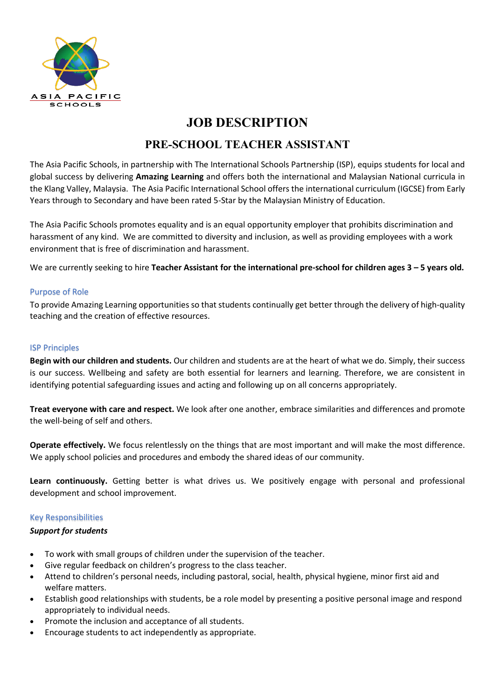

# **JOB DESCRIPTION**

## **PRE-SCHOOL TEACHER ASSISTANT**

The Asia Pacific Schools, in partnership with The International Schools Partnership (ISP), equips students for local and global success by delivering **Amazing Learning** and offers both the international and Malaysian National curricula in the Klang Valley, Malaysia. The Asia Pacific International School offers the international curriculum (IGCSE) from Early Years through to Secondary and have been rated 5-Star by the Malaysian Ministry of Education.

The Asia Pacific Schools promotes equality and is an equal opportunity employer that prohibits discrimination and harassment of any kind. We are committed to diversity and inclusion, as well as providing employees with a work environment that is free of discrimination and harassment.

We are currently seeking to hire **Teacher Assistant for the international pre-school for children ages 3 – 5 years old.**

#### Purpose of Role

To provide Amazing Learning opportunities so that students continually get better through the delivery of high-quality teaching and the creation of effective resources.

#### ISP Principles

**Begin with our children and students.** Our children and students are at the heart of what we do. Simply, their success is our success. Wellbeing and safety are both essential for learners and learning. Therefore, we are consistent in identifying potential safeguarding issues and acting and following up on all concerns appropriately.

**Treat everyone with care and respect.** We look after one another, embrace similarities and differences and promote the well-being of self and others.

**Operate effectively.** We focus relentlessly on the things that are most important and will make the most difference. We apply school policies and procedures and embody the shared ideas of our community.

**Learn continuously.** Getting better is what drives us. We positively engage with personal and professional development and school improvement.

#### Key Responsibilities

#### *Support for students*

- To work with small groups of children under the supervision of the teacher.
- Give regular feedback on children's progress to the class teacher.
- Attend to children's personal needs, including pastoral, social, health, physical hygiene, minor first aid and welfare matters.
- Establish good relationships with students, be a role model by presenting a positive personal image and respond appropriately to individual needs.
- Promote the inclusion and acceptance of all students.
- Encourage students to act independently as appropriate.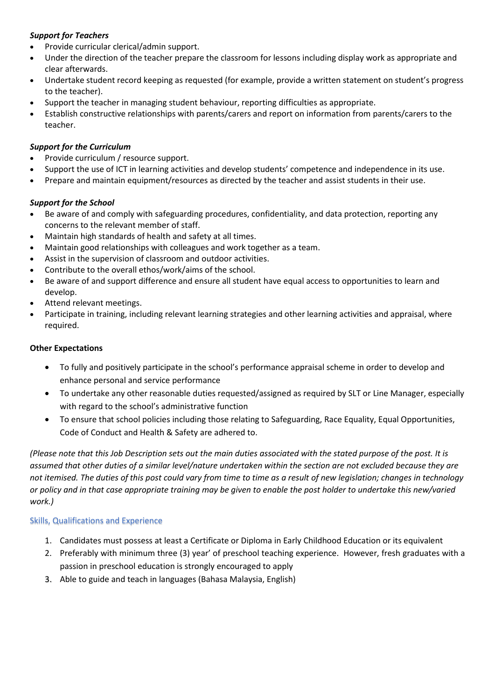### *Support for Teachers*

- Provide curricular clerical/admin support.
- Under the direction of the teacher prepare the classroom for lessons including display work as appropriate and clear afterwards.
- Undertake student record keeping as requested (for example, provide a written statement on student's progress to the teacher).
- Support the teacher in managing student behaviour, reporting difficulties as appropriate.
- Establish constructive relationships with parents/carers and report on information from parents/carers to the teacher.

## *Support for the Curriculum*

- Provide curriculum / resource support.
- Support the use of ICT in learning activities and develop students' competence and independence in its use.
- Prepare and maintain equipment/resources as directed by the teacher and assist students in their use.

## *Support for the School*

- Be aware of and comply with safeguarding procedures, confidentiality, and data protection, reporting any concerns to the relevant member of staff.
- Maintain high standards of health and safety at all times.
- Maintain good relationships with colleagues and work together as a team.
- Assist in the supervision of classroom and outdoor activities.
- Contribute to the overall ethos/work/aims of the school.
- Be aware of and support difference and ensure all student have equal access to opportunities to learn and develop.
- Attend relevant meetings.
- Participate in training, including relevant learning strategies and other learning activities and appraisal, where required.

### **Other Expectations**

- To fully and positively participate in the school's performance appraisal scheme in order to develop and enhance personal and service performance
- To undertake any other reasonable duties requested/assigned as required by SLT or Line Manager, especially with regard to the school's administrative function
- To ensure that school policies including those relating to Safeguarding, Race Equality, Equal Opportunities, Code of Conduct and Health & Safety are adhered to.

*(Please note that this Job Description sets out the main duties associated with the stated purpose of the post. It is assumed that other duties of a similar level/nature undertaken within the section are not excluded because they are not itemised. The duties of this post could vary from time to time as a result of new legislation; changes in technology or policy and in that case appropriate training may be given to enable the post holder to undertake this new/varied work.)*

## Skills, Qualifications and Experience

- 1. Candidates must possess at least a Certificate or Diploma in Early Childhood Education or its equivalent
- 2. Preferably with minimum three (3) year' of preschool teaching experience. However, fresh graduates with a passion in preschool education is strongly encouraged to apply
- 3. Able to guide and teach in languages (Bahasa Malaysia, English)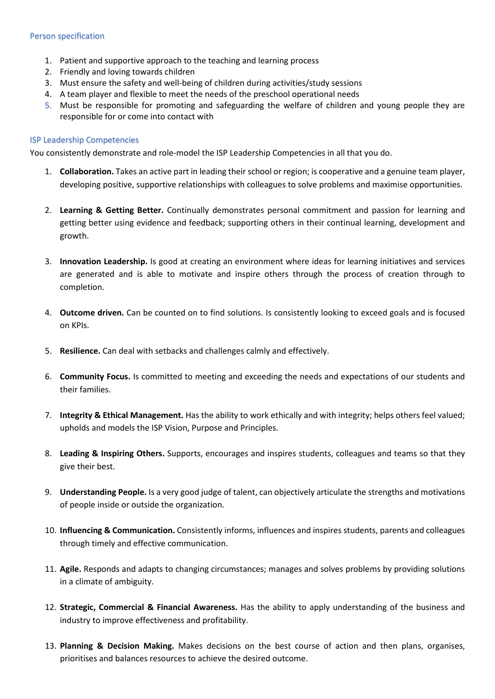#### Person specification

- 1. Patient and supportive approach to the teaching and learning process
- 2. Friendly and loving towards children
- 3. Must ensure the safety and well-being of children during activities/study sessions
- 4. A team player and flexible to meet the needs of the preschool operational needs
- 5. Must be responsible for promoting and safeguarding the welfare of children and young people they are responsible for or come into contact with

#### ISP Leadership Competencies

You consistently demonstrate and role-model the ISP Leadership Competencies in all that you do.

- 1. **Collaboration.** Takes an active part in leading their school or region; is cooperative and a genuine team player, developing positive, supportive relationships with colleagues to solve problems and maximise opportunities.
- 2. **Learning & Getting Better.** Continually demonstrates personal commitment and passion for learning and getting better using evidence and feedback; supporting others in their continual learning, development and growth.
- 3. **Innovation Leadership.** Is good at creating an environment where ideas for learning initiatives and services are generated and is able to motivate and inspire others through the process of creation through to completion.
- 4. **Outcome driven.** Can be counted on to find solutions. Is consistently looking to exceed goals and is focused on KPIs.
- 5. **Resilience.** Can deal with setbacks and challenges calmly and effectively.
- 6. **Community Focus.** Is committed to meeting and exceeding the needs and expectations of our students and their families.
- 7. **Integrity & Ethical Management.** Has the ability to work ethically and with integrity; helps others feel valued; upholds and models the ISP Vision, Purpose and Principles.
- 8. **Leading & Inspiring Others.** Supports, encourages and inspires students, colleagues and teams so that they give their best.
- 9. **Understanding People.** Is a very good judge of talent, can objectively articulate the strengths and motivations of people inside or outside the organization.
- 10. **Influencing & Communication.** Consistently informs, influences and inspires students, parents and colleagues through timely and effective communication.
- 11. **Agile.** Responds and adapts to changing circumstances; manages and solves problems by providing solutions in a climate of ambiguity.
- 12. **Strategic, Commercial & Financial Awareness.** Has the ability to apply understanding of the business and industry to improve effectiveness and profitability.
- 13. **Planning & Decision Making.** Makes decisions on the best course of action and then plans, organises, prioritises and balances resources to achieve the desired outcome.